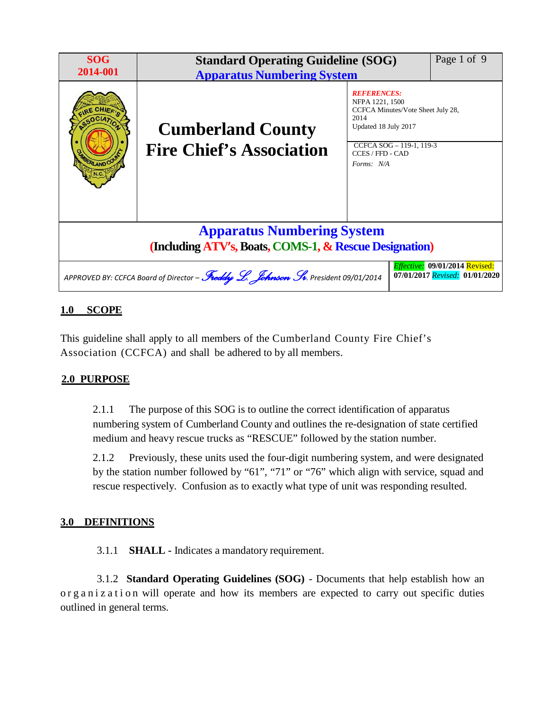| <b>SOG</b><br>2014-001                                                                                                                                | Page 1 of 9<br><b>Standard Operating Guideline (SOG)</b><br><b>Apparatus Numbering System</b> |                                                                                                                                                                          |  |
|-------------------------------------------------------------------------------------------------------------------------------------------------------|-----------------------------------------------------------------------------------------------|--------------------------------------------------------------------------------------------------------------------------------------------------------------------------|--|
| <b>RLAND CO</b>                                                                                                                                       | <b>Cumberland County</b><br><b>Fire Chief's Association</b>                                   | <b>REFERENCES:</b><br>NFPA 1221, 1500<br>CCFCA Minutes/Vote Sheet July 28,<br>2014<br>Updated 18 July 2017<br>CCFCA SOG - 119-1, 119-3<br>CCES / FFD - CAD<br>Forms: N/A |  |
| <b>Apparatus Numbering System</b><br>(Including ATV's, Boats, COMS-1, & Rescue Designation)                                                           |                                                                                               |                                                                                                                                                                          |  |
| Effective: 09/01/2014 Revised:<br>APPROVED BY: CCFCA Board of Director – Freddy L. Johnson Sr. President 09/01/2014<br>07/01/2017 Revised: 01/01/2020 |                                                                                               |                                                                                                                                                                          |  |

# **1.0 SCOPE**

This guideline shall apply to all members of the Cumberland County Fire Chief's Association (CCFCA) and shall be adhered to by all members.

# **2.0 PURPOSE**

2.1.1 The purpose of this SOG is to outline the correct identification of apparatus numbering system of Cumberland County and outlines the re-designation of state certified medium and heavy rescue trucks as "RESCUE" followed by the station number.

2.1.2 Previously, these units used the four-digit numbering system, and were designated by the station number followed by "61", "71" or "76" which align with service, squad and rescue respectively. Confusion as to exactly what type of unit was responding resulted.

### **3.0 DEFINITIONS**

3.1.1 **SHALL -** Indicates a mandatory requirement.

3.1.2 **Standard Operating Guidelines (SOG)** - Documents that help establish how an or g a n i z a t i on will operate and how its members are expected to carry out specific duties outlined in general terms.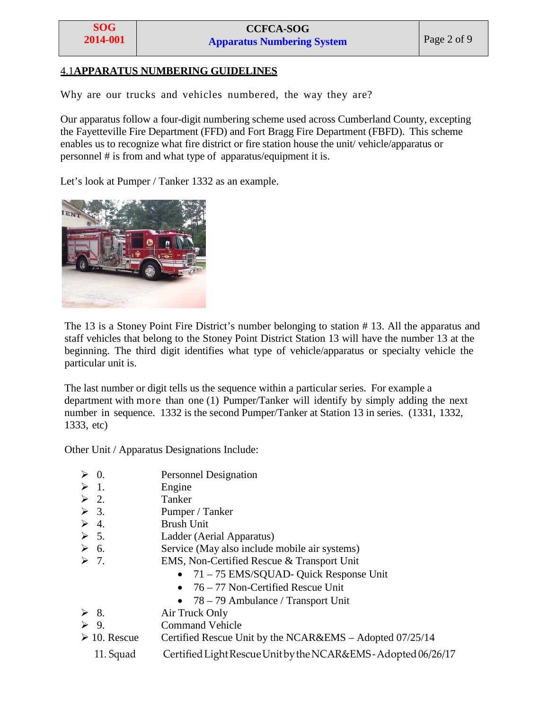#### 4.1**APPARATUS NUMBERING GUIDELINES**

Why are our trucks and vehicles numbered, the way they are?

Our apparatus follow a four-digit numbering scheme used across Cumberland County, excepting the Fayetteville Fire Department (FFD) and Fort Bragg Fire Department (FBFD). This scheme enables us to recognize what fire district or fire station house the unit/ vehicle/apparatus or personnel # is from and what type of apparatus/equipment it is.

Let's look at Pumper / Tanker 1332 as an example.



The 13 is a Stoney Point Fire District's number belonging to station # 13. All the apparatus and staff vehicles that belong to the Stoney Point District Station 13 will have the number 13 at the beginning. The third digit identifies what type of vehicle/apparatus or specialty vehicle the particular unit is.

The last number or digit tells us the sequence within a particular series. For example a department with more than one (1) Pumper/Tanker will identify by simply adding the next number in sequence. 1332 is the second Pumper/Tanker at Station 13 in series. (1331, 1332, 1333, etc)

Other Unit / Apparatus Designations Include:

- $\geq 0$ . Personnel Designation
- $\geq 1$ . Engine
- $\geq 2$ . Tanker
- $\geq 3$ . Pumper / Tanker
- $\geq 4.$  Brush Unit
- $\geq 5$ . Ladder (Aerial Apparatus)
- $\geq 6$ . Service (May also include mobile air systems)
- 7. EMS, Non-Certified Rescue & Transport Unit
	- 71 75 EMS/SQUAD- Quick Response Unit
	- 76 77 Non-Certified Rescue Unit
	- 78 79 Ambulance / Transport Unit
- $\geq 8$ . Air Truck Only
- 9. Command Vehicle
- $\geq 10$ . Rescue Certified Rescue Unit by the NCAR&EMS Adopted 07/25/14
	- 11. Squad Certified Light Rescue Unit by the NCAR&EMS-Adopted 06/26/17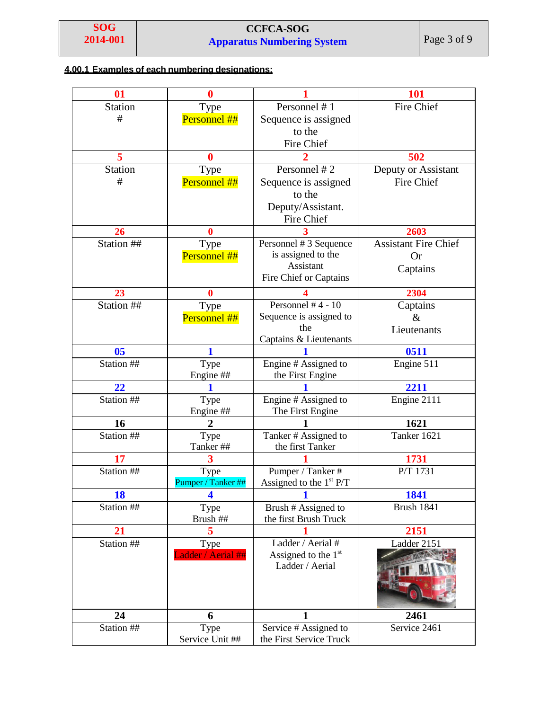# **CCFCA-SOG Apparatus Numbering System** Page 3 of 9

# **4.00.1 Examples of each numbering designations:**

| 01             | 0                  |                                          | <b>101</b>                  |
|----------------|--------------------|------------------------------------------|-----------------------------|
| <b>Station</b> | Type               | Personnel #1                             | <b>Fire Chief</b>           |
| $\#$           | Personnel ##       | Sequence is assigned                     |                             |
|                |                    | to the                                   |                             |
|                |                    | Fire Chief                               |                             |
| 5              | 0                  |                                          | 502                         |
| <b>Station</b> | Type               | Personnel #2                             | Deputy or Assistant         |
| $\#$           | Personnel ##       | Sequence is assigned                     | Fire Chief                  |
|                |                    | to the                                   |                             |
|                |                    | Deputy/Assistant.                        |                             |
|                |                    | Fire Chief                               |                             |
| 26             | $\mathbf{0}$       |                                          | 2603                        |
| Station ##     | Type               | Personnel #3 Sequence                    | <b>Assistant Fire Chief</b> |
|                | Personnel ##       | is assigned to the                       | <b>Or</b>                   |
|                |                    | Assistant                                | Captains                    |
|                |                    | Fire Chief or Captains                   |                             |
| 23             | 0                  |                                          | 2304                        |
| Station ##     | Type               | Personnel $#4 - 10$                      | Captains                    |
|                | Personnel ##       | Sequence is assigned to                  | $\&$                        |
|                |                    | the                                      | Lieutenants                 |
|                |                    | Captains & Lieutenants                   |                             |
| 0 <sub>5</sub> | 1                  |                                          | 0511                        |
| Station ##     | Type               | Engine # Assigned to                     | Engine 511                  |
| 22             | Engine ##          | the First Engine                         |                             |
| Station ##     |                    |                                          | 2211                        |
|                | Type<br>Engine ##  | Engine # Assigned to<br>The First Engine | Engine 2111                 |
| 16             | $\overline{2}$     |                                          | 1621                        |
| Station ##     | Type               | Tanker # Assigned to                     | Tanker 1621                 |
|                | Tanker##           | the first Tanker                         |                             |
| 17             | 3                  |                                          | 1731                        |
| Station ##     | Type               | Pumper / Tanker #                        | $P/T$ 1731                  |
|                | Pumper / Tanker ## | Assigned to the $1st P/T$                |                             |
| 18             | 4                  | 1                                        | 1841                        |
| Station ##     | Type               | Brush # Assigned to                      | <b>Brush 1841</b>           |
|                | Brush ##           | the first Brush Truck                    |                             |
| 21             | 5                  |                                          | 2151                        |
| Station ##     | Type               | Ladder / Aerial #                        | Ladder 2151                 |
|                | Ladder / Aerial ## | Assigned to the $1st$                    |                             |
|                |                    | Ladder / Aerial                          |                             |
|                |                    |                                          |                             |
|                |                    |                                          |                             |
|                |                    |                                          |                             |
| 24             | 6                  |                                          | 2461                        |
| Station ##     | Type               | Service # Assigned to                    | Service 2461                |
|                | Service Unit ##    | the First Service Truck                  |                             |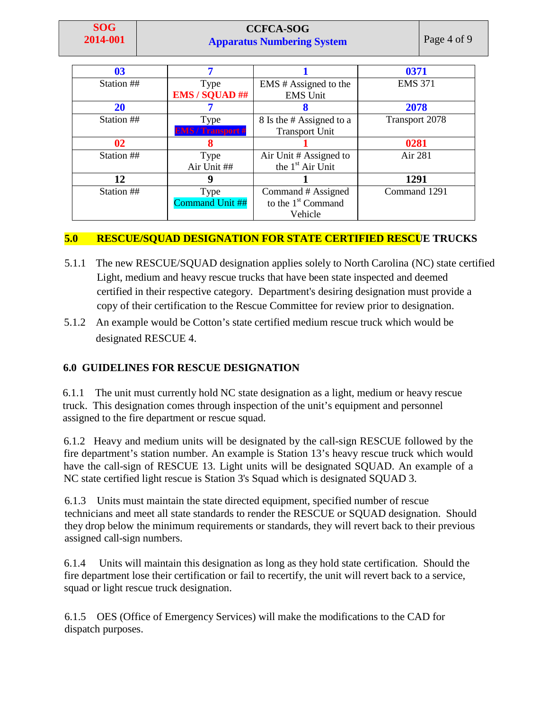### **CCFCA-SOG Apparatus Numbering System** Page 4 of 9

| 0 <sub>3</sub> |                          |                          | 0371                  |
|----------------|--------------------------|--------------------------|-----------------------|
| Station ##     | Type                     | EMS # Assigned to the    | <b>EMS 371</b>        |
|                | <b>EMS / SQUAD ##</b>    | <b>EMS</b> Unit          |                       |
| 20             |                          |                          | 2078                  |
| Station ##     | Type                     | 8 Is the # Assigned to a | <b>Transport 2078</b> |
|                | <b>EMS / Transport #</b> | <b>Transport Unit</b>    |                       |
| 02             | 8                        |                          | 0281                  |
| Station ##     | Type                     | Air Unit # Assigned to   | Air 281               |
|                | Air Unit ##              | the $1st$ Air Unit       |                       |
| 12             |                          |                          | 1291                  |
| Station ##     | Type                     | Command # Assigned       | Command 1291          |
|                | Command Unit ##          | to the $1st$ Command     |                       |
|                |                          | Vehicle                  |                       |

# **5.0 RESCUE/SQUAD DESIGNATION FOR STATE CERTIFIED RESCUE TRUCKS**

- 5.1.1 The new RESCUE/SQUAD designation applies solely to North Carolina (NC) state certified Light, medium and heavy rescue trucks that have been state inspected and deemed certified in their respective category. Department's desiring designation must provide a copy of their certification to the Rescue Committee for review prior to designation.
- 5.1.2 An example would be Cotton's state certified medium rescue truck which would be designated RESCUE 4.

# **6.0 GUIDELINES FOR RESCUE DESIGNATION**

6.1.1 The unit must currently hold NC state designation as a light, medium or heavy rescue truck. This designation comes through inspection of the unit's equipment and personnel assigned to the fire department or rescue squad.

6.1.2 Heavy and medium units will be designated by the call-sign RESCUE followed by the fire department's station number. An example is Station 13's heavy rescue truck which would have the call-sign of RESCUE 13. Light units will be designated SQUAD. An example of a NC state certified light rescue is Station 3's Squad which is designated SQUAD 3.

6.1.3 Units must maintain the state directed equipment, specified number of rescue technicians and meet all state standards to render the RESCUE or SQUAD designation. Should they drop below the minimum requirements or standards, they will revert back to their previous assigned call-sign numbers.

6.1.4 Units will maintain this designation as long as they hold state certification. Should the fire department lose their certification or fail to recertify, the unit will revert back to a service, squad or light rescue truck designation.

6.1.5 OES (Office of Emergency Services) will make the modifications to the CAD for dispatch purposes.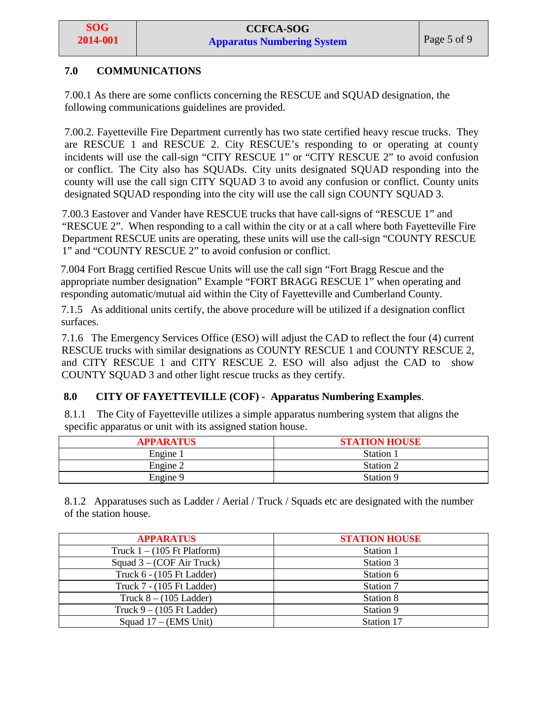### **7.0 COMMUNICATIONS**

7.00.1 As there are some conflicts concerning the RESCUE and SQUAD designation, the following communications guidelines are provided.

7.00.2. Fayetteville Fire Department currently has two state certified heavy rescue trucks. They are RESCUE 1 and RESCUE 2. City RESCUE's responding to or operating at county incidents will use the call-sign "CITY RESCUE 1" or "CITY RESCUE 2" to avoid confusion or conflict. The City also has SQUADs. City units designated SQUAD responding into the county will use the call sign CITY SQUAD 3 to avoid any confusion or conflict. County units designated SQUAD responding into the city will use the call sign COUNTY SQUAD 3.

7.00.3 Eastover and Vander have RESCUE trucks that have call-signs of "RESCUE 1" and "RESCUE 2". When responding to a call within the city or at a call where both Fayetteville Fire Department RESCUE units are operating, these units will use the call-sign "COUNTY RESCUE 1" and "COUNTY RESCUE 2" to avoid confusion or conflict.

7.004 Fort Bragg certified Rescue Units will use the call sign "Fort Bragg Rescue and the appropriate number designation" Example "FORT BRAGG RESCUE 1" when operating and responding automatic/mutual aid within the City of Fayetteville and Cumberland County.

7.1.5 As additional units certify, the above procedure will be utilized if a designation conflict surfaces.

7.1.6 The Emergency Services Office (ESO) will adjust the CAD to reflect the four (4) current RESCUE trucks with similar designations as COUNTY RESCUE 1 and COUNTY RESCUE 2, and CITY RESCUE 1 and CITY RESCUE 2. ESO will also adjust the CAD to show COUNTY SQUAD 3 and other light rescue trucks as they certify.

### **8.0 CITY OF FAYETTEVILLE (COF) - Apparatus Numbering Examples**.

8.1.1 The City of Fayetteville utilizes a simple apparatus numbering system that aligns the specific apparatus or unit with its assigned station house.

| <b>APPARATUS</b> | <b>STATION HOUSE</b> |
|------------------|----------------------|
| Engine 1         | Station 1            |
| Engine 2         | Station 2            |
| Engine 9         | Station 9            |

8.1.2 Apparatuses such as Ladder / Aerial / Truck / Squads etc are designated with the number of the station house.

| <b>APPARATUS</b>                      | <b>STATION HOUSE</b> |
|---------------------------------------|----------------------|
| Truck $1 - (105 \text{ Ft Platform})$ | Station 1            |
| Squad $3 - (COF Air Truek)$           | Station 3            |
| Truck 6 - (105 Ft Ladder)             | Station 6            |
| Truck 7 - (105 Ft Ladder)             | Station 7            |
| Truck $8 - (105$ Ladder)              | Station 8            |
| Truck $9 - (105 \text{ Ft Ladder})$   | Station 9            |
| Squad $17 - (EMS Unit)$               | Station 17           |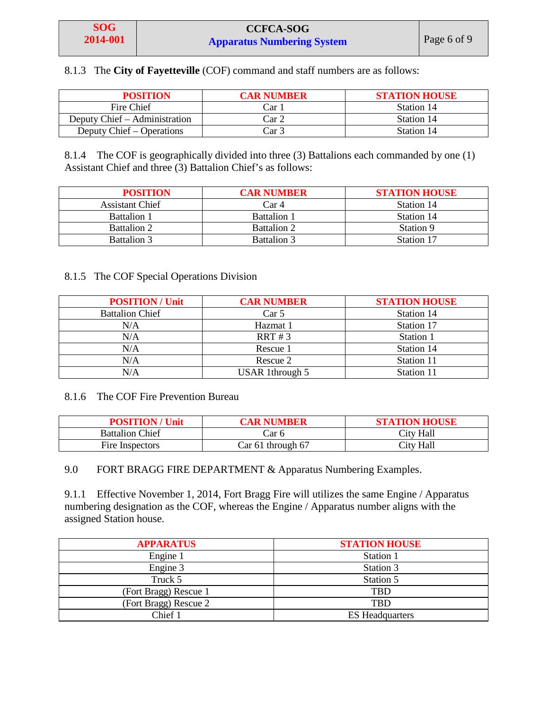8.1.3 The **City of Fayetteville** (COF) command and staff numbers are as follows:

| <b>POSITION</b>               | <b>CAR NUMBER</b> | <b>STATION HOUSE</b> |
|-------------------------------|-------------------|----------------------|
| Fire Chief                    | Car               | Station 14           |
| Deputy Chief – Administration | Car 2             | Station 14           |
| Deputy Chief – Operations     | Car 3             | Station 14           |

8.1.4 The COF is geographically divided into three (3) Battalions each commanded by one (1) Assistant Chief and three (3) Battalion Chief's as follows:

| <b>POSITION</b>        | <b>CAR NUMBER</b>  | <b>STATION HOUSE</b> |
|------------------------|--------------------|----------------------|
| <b>Assistant Chief</b> | Car 4              | Station 14           |
| <b>Battalion 1</b>     | <b>Battalion 1</b> | Station 14           |
| <b>Battalion 2</b>     | <b>Battalion 2</b> | Station 9            |
| <b>Battalion 3</b>     | <b>Battalion 3</b> | Station 17           |

#### 8.1.5 The COF Special Operations Division

| <b>POSITION/Unit</b>   | <b>CAR NUMBER</b>      | <b>STATION HOUSE</b> |
|------------------------|------------------------|----------------------|
| <b>Battalion Chief</b> | Car <sub>5</sub>       | Station 14           |
| N/A                    | Hazmat 1               | Station 17           |
| N/A                    | RRT #3                 | Station 1            |
| N/A                    | Rescue 1               | Station 14           |
| N/A                    | Rescue 2               | Station 11           |
| N/A                    | <b>USAR</b> 1through 5 | Station 11           |

#### 8.1.6 The COF Fire Prevention Bureau

| <b>POSITION/Unit</b>   | CAR NUMBER        | <b>STATION HOUSE</b> |
|------------------------|-------------------|----------------------|
| <b>Battalion Chief</b> | Car 6             | City Hall            |
| Fire Inspectors        | Car 61 through 67 | City Hall            |

9.0 FORT BRAGG FIRE DEPARTMENT & Apparatus Numbering Examples.

9.1.1 Effective November 1, 2014, Fort Bragg Fire will utilizes the same Engine / Apparatus numbering designation as the COF, whereas the Engine / Apparatus number aligns with the assigned Station house.

| <b>APPARATUS</b>      | <b>STATION HOUSE</b>   |
|-----------------------|------------------------|
| Engine 1              | Station 1              |
| Engine 3              | Station 3              |
| Truck 5               | Station 5              |
| (Fort Bragg) Rescue 1 | TBD                    |
| (Fort Bragg) Rescue 2 | TBD                    |
| Chief 1               | <b>ES</b> Headquarters |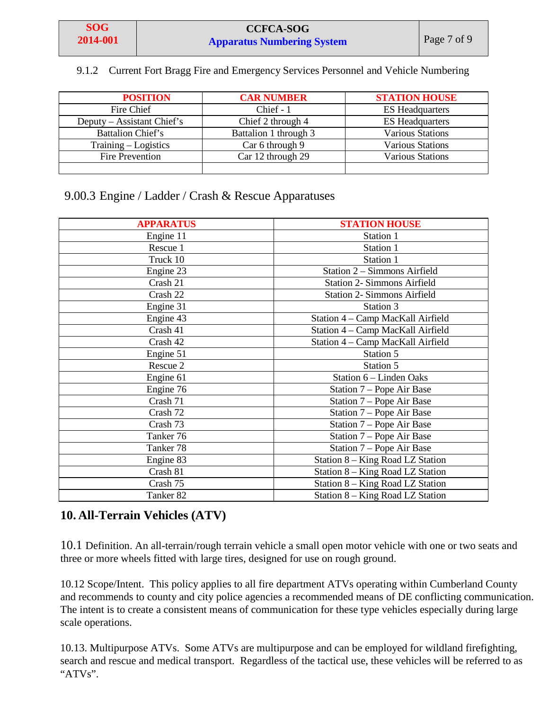#### 9.1.2 Current Fort Bragg Fire and Emergency Services Personnel and Vehicle Numbering

| <b>POSITION</b>            | <b>CAR NUMBER</b>     | <b>STATION HOUSE</b>    |
|----------------------------|-----------------------|-------------------------|
| Fire Chief                 | Chief $-1$            | <b>ES Headquarters</b>  |
| Deputy – Assistant Chief's | Chief 2 through 4     | <b>ES Headquarters</b>  |
| <b>Battalion Chief's</b>   | Battalion 1 through 3 | <b>Various Stations</b> |
| Training – Logistics       | Car 6 through 9       | <b>Various Stations</b> |
| <b>Fire Prevention</b>     | Car 12 through 29     | <b>Various Stations</b> |
|                            |                       |                         |

# 9.00.3 Engine / Ladder / Crash & Rescue Apparatuses

| <b>APPARATUS</b>     | <b>STATION HOUSE</b>               |
|----------------------|------------------------------------|
| Engine 11            | Station 1                          |
| Rescue 1             | Station 1                          |
| Truck 10             | Station 1                          |
| Engine 23            | Station 2 - Simmons Airfield       |
| Crash 21             | <b>Station 2- Simmons Airfield</b> |
| Crash 22             | <b>Station 2- Simmons Airfield</b> |
| Engine 31            | Station 3                          |
| Engine 43            | Station 4 - Camp MacKall Airfield  |
| Crash 41             | Station 4 - Camp MacKall Airfield  |
| Crash 42             | Station 4 - Camp MacKall Airfield  |
| Engine 51            | Station 5                          |
| Rescue 2             | Station 5                          |
| Engine 61            | Station 6 – Linden Oaks            |
| Engine 76            | Station 7 – Pope Air Base          |
| Crash 71             | Station 7 – Pope Air Base          |
| Crash 72             | Station 7 – Pope Air Base          |
| Crash 73             | Station 7 – Pope Air Base          |
| Tanker 76            | Station 7 – Pope Air Base          |
| Tanker 78            | Station 7 – Pope Air Base          |
| Engine 83            | Station 8 – King Road LZ Station   |
| Crash 81             | Station 8 - King Road LZ Station   |
| Crash 75             | Station 8 - King Road LZ Station   |
| Tanker <sub>82</sub> | Station 8 – King Road LZ Station   |

# **10. All-Terrain Vehicles (ATV)**

10.1 Definition. An all-terrain/rough terrain vehicle a small open motor vehicle with one or two seats and three or more wheels fitted with large tires, designed for use on rough ground.

10.12 Scope/Intent. This policy applies to all fire department ATVs operating within Cumberland County and recommends to county and city police agencies a recommended means of DE conflicting communication. The intent is to create a consistent means of communication for these type vehicles especially during large scale operations.

10.13. Multipurpose ATVs. Some ATVs are multipurpose and can be employed for wildland firefighting, search and rescue and medical transport. Regardless of the tactical use, these vehicles will be referred to as "ATVs".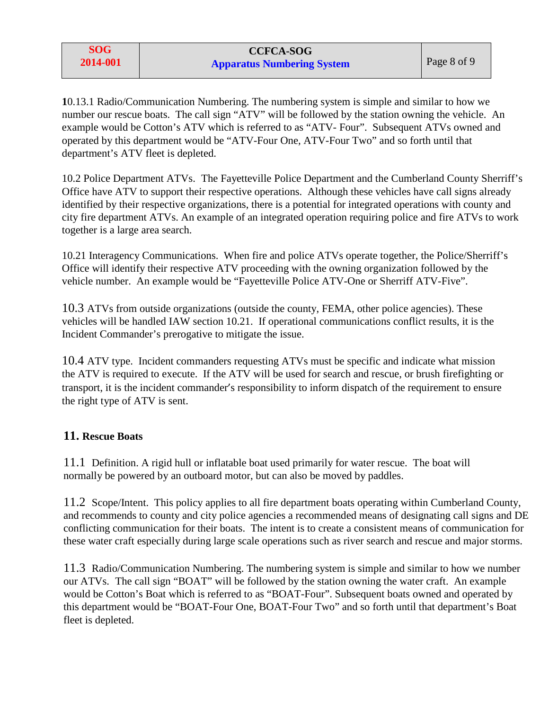**1**0.13.1 Radio/Communication Numbering. The numbering system is simple and similar to how we number our rescue boats. The call sign "ATV" will be followed by the station owning the vehicle. An example would be Cotton's ATV which is referred to as "ATV- Four". Subsequent ATVs owned and operated by this department would be "ATV-Four One, ATV-Four Two" and so forth until that department's ATV fleet is depleted.

10.2 Police Department ATVs. The Fayetteville Police Department and the Cumberland County Sherriff's Office have ATV to support their respective operations. Although these vehicles have call signs already identified by their respective organizations, there is a potential for integrated operations with county and city fire department ATVs. An example of an integrated operation requiring police and fire ATVs to work together is a large area search.

10.21 Interagency Communications. When fire and police ATVs operate together, the Police/Sherriff's Office will identify their respective ATV proceeding with the owning organization followed by the vehicle number. An example would be "Fayetteville Police ATV-One or Sherriff ATV-Five".

10.3 ATVs from outside organizations (outside the county, FEMA, other police agencies). These vehicles will be handled IAW section 10.21. If operational communications conflict results, it is the Incident Commander's prerogative to mitigate the issue.

10.4 ATV type. Incident commanders requesting ATVs must be specific and indicate what mission the ATV is required to execute. If the ATV will be used for search and rescue, or brush firefighting or transport, it is the incident commander's responsibility to inform dispatch of the requirement to ensure the right type of ATV is sent.

# **11. Rescue Boats**

11.1 Definition. A rigid hull or inflatable boat used primarily for water rescue. The boat will normally be powered by an outboard motor, but can also be moved by paddles.

11.2 Scope/Intent. This policy applies to all fire department boats operating within Cumberland County, and recommends to county and city police agencies a recommended means of designating call signs and DE conflicting communication for their boats. The intent is to create a consistent means of communication for these water craft especially during large scale operations such as river search and rescue and major storms.

11.3 Radio/Communication Numbering. The numbering system is simple and similar to how we number our ATVs. The call sign "BOAT" will be followed by the station owning the water craft. An example would be Cotton's Boat which is referred to as "BOAT-Four". Subsequent boats owned and operated by this department would be "BOAT-Four One, BOAT-Four Two" and so forth until that department's Boat fleet is depleted.